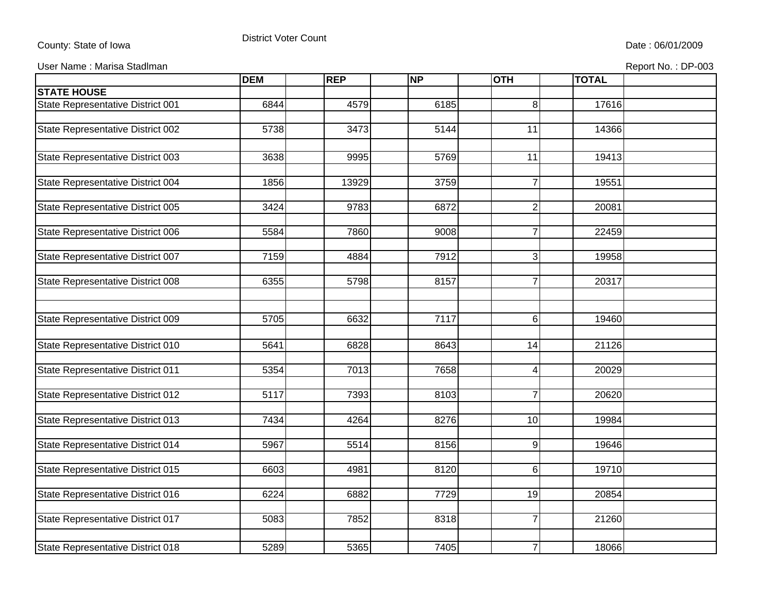## County: State of Iowa **District Voter Count** District Voter Count **District Voter Count** Date : 06/01/2009

User Name : Marisa Stadlman

|  |  |  |  |  | Report No.: DP-003 |
|--|--|--|--|--|--------------------|
|--|--|--|--|--|--------------------|

|                                   | <b>DEM</b> | <b>REP</b> | <b>NP</b> | <b>OTH</b>     | <b>TOTAL</b> |  |
|-----------------------------------|------------|------------|-----------|----------------|--------------|--|
| <b>STATE HOUSE</b>                |            |            |           |                |              |  |
| State Representative District 001 | 6844       | 4579       | 6185      | 8 <sup>1</sup> | 17616        |  |
|                                   |            |            |           |                |              |  |
| State Representative District 002 | 5738       | 3473       | 5144      | 11             | 14366        |  |
|                                   |            |            |           |                |              |  |
| State Representative District 003 | 3638       | 9995       | 5769      | 11             | 19413        |  |
| State Representative District 004 | 1856       | 13929      | 3759      | $\overline{7}$ | 19551        |  |
|                                   |            |            |           |                |              |  |
| State Representative District 005 | 3424       | 9783       | 6872      | $\overline{2}$ | 20081        |  |
|                                   |            |            |           |                |              |  |
| State Representative District 006 | 5584       | 7860       | 9008      | 7              | 22459        |  |
|                                   |            |            | 7912      |                |              |  |
| State Representative District 007 | 7159       | 4884       |           | $\overline{3}$ | 19958        |  |
| State Representative District 008 | 6355       | 5798       | 8157      | $\overline{7}$ | 20317        |  |
|                                   |            |            |           |                |              |  |
|                                   |            |            |           |                |              |  |
| State Representative District 009 | 5705       | 6632       | 7117      | $6\vert$       | 19460        |  |
|                                   |            |            |           |                |              |  |
| State Representative District 010 | 5641       | 6828       | 8643      | 14             | 21126        |  |
| State Representative District 011 | 5354       | 7013       | 7658      | 4              | 20029        |  |
|                                   |            |            |           |                |              |  |
| State Representative District 012 | 5117       | 7393       | 8103      | $\overline{7}$ | 20620        |  |
|                                   |            |            |           |                |              |  |
| State Representative District 013 | 7434       | 4264       | 8276      | 10             | 19984        |  |
|                                   |            |            |           |                |              |  |
| State Representative District 014 | 5967       | 5514       | 8156      | 9              | 19646        |  |
| State Representative District 015 | 6603       | 4981       | 8120      | 6              | 19710        |  |
|                                   |            |            |           |                |              |  |
| State Representative District 016 | 6224       | 6882       | 7729      | 19             | 20854        |  |
|                                   |            |            |           |                |              |  |
| State Representative District 017 | 5083       | 7852       | 8318      | $\overline{7}$ | 21260        |  |
|                                   |            |            |           |                |              |  |
| State Representative District 018 | 5289       | 5365       | 7405      | $\overline{7}$ | 18066        |  |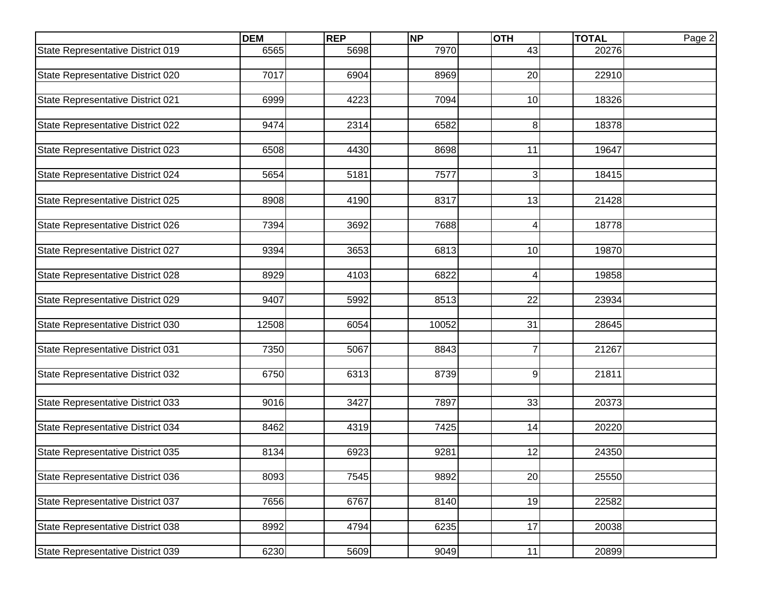|                                   | <b>DEM</b> | <b>REP</b> | <b>NP</b> | <b>OTH</b>     | <b>TOTAL</b> | Page 2 |
|-----------------------------------|------------|------------|-----------|----------------|--------------|--------|
| State Representative District 019 | 6565       | 5698       | 7970      | 43             | 20276        |        |
|                                   |            |            |           |                |              |        |
| State Representative District 020 | 7017       | 6904       | 8969      | 20             | 22910        |        |
|                                   |            |            |           |                |              |        |
| State Representative District 021 | 6999       | 4223       | 7094      | 10             | 18326        |        |
| State Representative District 022 | 9474       | 2314       | 6582      | 8              | 18378        |        |
|                                   |            |            |           |                |              |        |
| State Representative District 023 | 6508       | 4430       | 8698      | 11             | 19647        |        |
|                                   |            |            |           |                |              |        |
| State Representative District 024 | 5654       | 5181       | 7577      | $\overline{3}$ | 18415        |        |
|                                   |            |            |           |                |              |        |
| State Representative District 025 | 8908       | 4190       | 8317      | 13             | 21428        |        |
|                                   |            |            |           |                |              |        |
| State Representative District 026 | 7394       | 3692       | 7688      | 4              | 18778        |        |
|                                   |            |            |           |                |              |        |
| State Representative District 027 | 9394       | 3653       | 6813      | 10             | 19870        |        |
| State Representative District 028 | 8929       | 4103       | 6822      | 4              | 19858        |        |
|                                   |            |            |           |                |              |        |
| State Representative District 029 | 9407       | 5992       | 8513      | 22             | 23934        |        |
|                                   |            |            |           |                |              |        |
| State Representative District 030 | 12508      | 6054       | 10052     | 31             | 28645        |        |
|                                   |            |            |           |                |              |        |
| State Representative District 031 | 7350       | 5067       | 8843      | 7              | 21267        |        |
|                                   |            |            |           |                |              |        |
| State Representative District 032 | 6750       | 6313       | 8739      | 9              | 21811        |        |
|                                   |            |            |           |                |              |        |
| State Representative District 033 | 9016       | 3427       | 7897      | 33             | 20373        |        |
| State Representative District 034 | 8462       | 4319       | 7425      | 14             | 20220        |        |
|                                   |            |            |           |                |              |        |
| State Representative District 035 | 8134       | 6923       | 9281      | 12             | 24350        |        |
|                                   |            |            |           |                |              |        |
| State Representative District 036 | 8093       | 7545       | 9892      | 20             | 25550        |        |
|                                   |            |            |           |                |              |        |
| State Representative District 037 | 7656       | 6767       | 8140      | 19             | 22582        |        |
|                                   |            |            |           |                |              |        |
| State Representative District 038 | 8992       | 4794       | 6235      | 17             | 20038        |        |
|                                   |            |            |           |                |              |        |
| State Representative District 039 | 6230       | 5609       | 9049      | 11             | 20899        |        |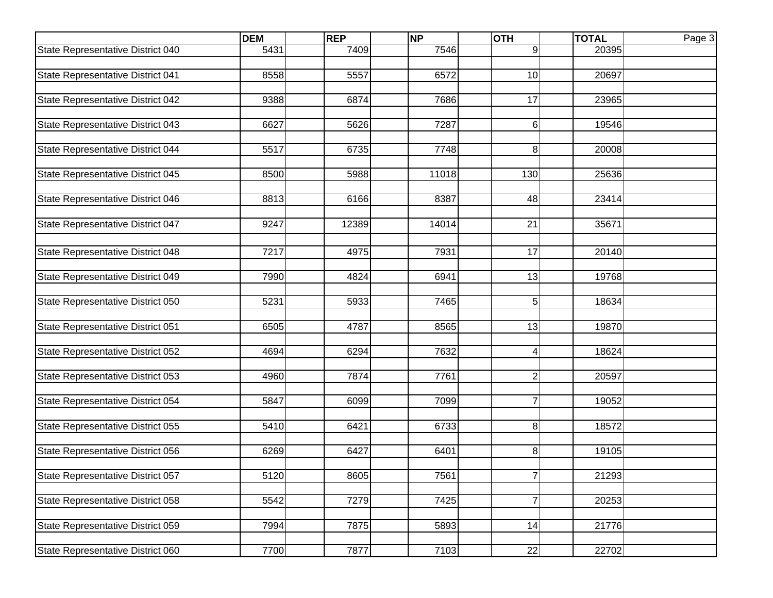|                                   | <b>DEM</b> | <b>REP</b> | <b>NP</b> | <b>OTH</b>     | <b>TOTAL</b> | Page 3 |
|-----------------------------------|------------|------------|-----------|----------------|--------------|--------|
| State Representative District 040 | 5431       | 7409       | 7546      | 9              | 20395        |        |
|                                   |            |            |           |                |              |        |
| State Representative District 041 | 8558       | 5557       | 6572      | 10             | 20697        |        |
|                                   |            | 6874       | 7686      | 17             |              |        |
| State Representative District 042 | 9388       |            |           |                | 23965        |        |
| State Representative District 043 | 6627       | 5626       | 7287      | 6              | 19546        |        |
|                                   |            |            |           |                |              |        |
| State Representative District 044 | 5517       | 6735       | 7748      | 8              | 20008        |        |
|                                   |            |            |           |                |              |        |
| State Representative District 045 | 8500       | 5988       | 11018     | 130            | 25636        |        |
|                                   |            |            |           |                |              |        |
| State Representative District 046 | 8813       | 6166       | 8387      | 48             | 23414        |        |
| State Representative District 047 | 9247       | 12389      | 14014     | 21             | 35671        |        |
|                                   |            |            |           |                |              |        |
| State Representative District 048 | 7217       | 4975       | 7931      | 17             | 20140        |        |
|                                   |            |            |           |                |              |        |
| State Representative District 049 | 7990       | 4824       | 6941      | 13             | 19768        |        |
|                                   |            |            |           |                |              |        |
| State Representative District 050 | 5231       | 5933       | 7465      | 5              | 18634        |        |
|                                   |            |            |           |                |              |        |
| State Representative District 051 | 6505       | 4787       | 8565      | 13             | 19870        |        |
|                                   |            |            |           |                |              |        |
| State Representative District 052 | 4694       | 6294       | 7632      | 4              | 18624        |        |
| State Representative District 053 | 4960       | 7874       | 7761      | $\overline{2}$ | 20597        |        |
|                                   |            |            |           |                |              |        |
| State Representative District 054 | 5847       | 6099       | 7099      | $\overline{7}$ | 19052        |        |
|                                   |            |            |           |                |              |        |
| State Representative District 055 | 5410       | 6421       | 6733      | 8 <sup>1</sup> | 18572        |        |
|                                   |            |            |           |                |              |        |
| State Representative District 056 | 6269       | 6427       | 6401      | 8              | 19105        |        |
|                                   |            |            |           |                |              |        |
| State Representative District 057 | 5120       | 8605       | 7561      | $\overline{7}$ | 21293        |        |
| State Representative District 058 | 5542       | 7279       | 7425      | $\overline{7}$ | 20253        |        |
|                                   |            |            |           |                |              |        |
| State Representative District 059 | 7994       | 7875       | 5893      | 14             | 21776        |        |
|                                   |            |            |           |                |              |        |
| State Representative District 060 | 7700       | 7877       | 7103      | 22             | 22702        |        |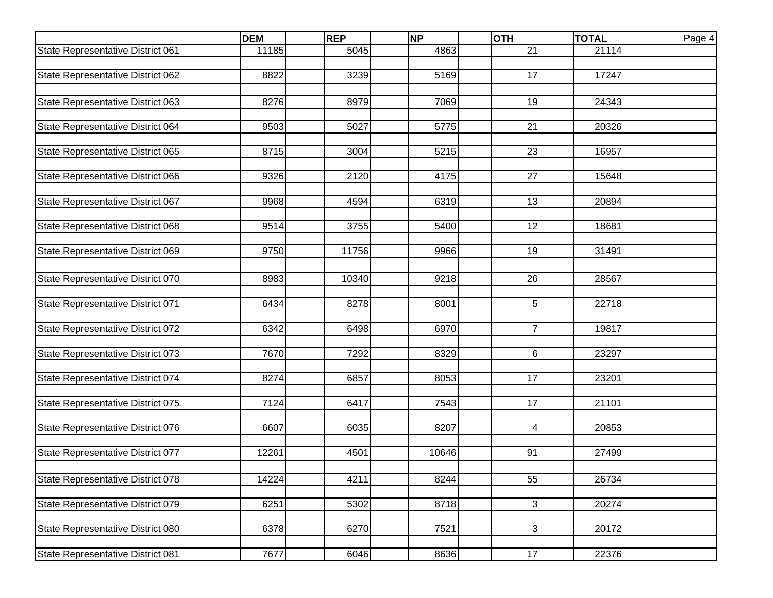|                                   | <b>DEM</b> | <b>REP</b> | <b>NP</b> | <b>OTH</b>                | <b>TOTAL</b> | Page 4 |
|-----------------------------------|------------|------------|-----------|---------------------------|--------------|--------|
| State Representative District 061 | 11185      | 5045       | 4863      | 21                        | 21114        |        |
|                                   |            |            |           |                           |              |        |
| State Representative District 062 | 8822       | 3239       | 5169      | 17                        | 17247        |        |
|                                   |            |            |           |                           |              |        |
| State Representative District 063 | 8276       | 8979       | 7069      | 19                        | 24343        |        |
| State Representative District 064 | 9503       | 5027       | 5775      | 21                        | 20326        |        |
|                                   |            |            |           |                           |              |        |
| State Representative District 065 | 8715       | 3004       | 5215      | 23                        | 16957        |        |
|                                   |            |            |           |                           |              |        |
| State Representative District 066 | 9326       | 2120       | 4175      | 27                        | 15648        |        |
|                                   |            |            |           |                           |              |        |
| State Representative District 067 | 9968       | 4594       | 6319      | 13                        | 20894        |        |
| State Representative District 068 | 9514       | 3755       | 5400      | 12                        | 18681        |        |
|                                   |            |            |           |                           |              |        |
| State Representative District 069 | 9750       | 11756      | 9966      | 19                        | 31491        |        |
|                                   |            |            |           |                           |              |        |
| State Representative District 070 | 8983       | 10340      | 9218      | 26                        | 28567        |        |
|                                   |            |            |           |                           |              |        |
| State Representative District 071 | 6434       | 8278       | 8001      | 5                         | 22718        |        |
|                                   |            |            |           |                           |              |        |
| State Representative District 072 | 6342       | 6498       | 6970      | $\overline{7}$            | 19817        |        |
|                                   |            |            |           |                           |              |        |
| State Representative District 073 | 7670       | 7292       | 8329      | 6                         | 23297        |        |
| State Representative District 074 | 8274       | 6857       | 8053      | 17                        | 23201        |        |
|                                   |            |            |           |                           |              |        |
| State Representative District 075 | 7124       | 6417       | 7543      | 17                        | 21101        |        |
|                                   |            |            |           |                           |              |        |
| State Representative District 076 | 6607       | 6035       | 8207      | 4                         | 20853        |        |
|                                   |            |            |           |                           |              |        |
| State Representative District 077 | 12261      | 4501       | 10646     | 91                        | 27499        |        |
|                                   |            |            |           |                           |              |        |
| State Representative District 078 | 14224      | 4211       | 8244      | 55                        | 26734        |        |
| State Representative District 079 | 6251       | 5302       | 8718      | $\ensuremath{\mathsf{3}}$ | 20274        |        |
|                                   |            |            |           |                           |              |        |
| State Representative District 080 | 6378       | 6270       | 7521      | $\ensuremath{\mathsf{3}}$ | 20172        |        |
|                                   |            |            |           |                           |              |        |
| State Representative District 081 | 7677       | 6046       | 8636      | 17                        | 22376        |        |